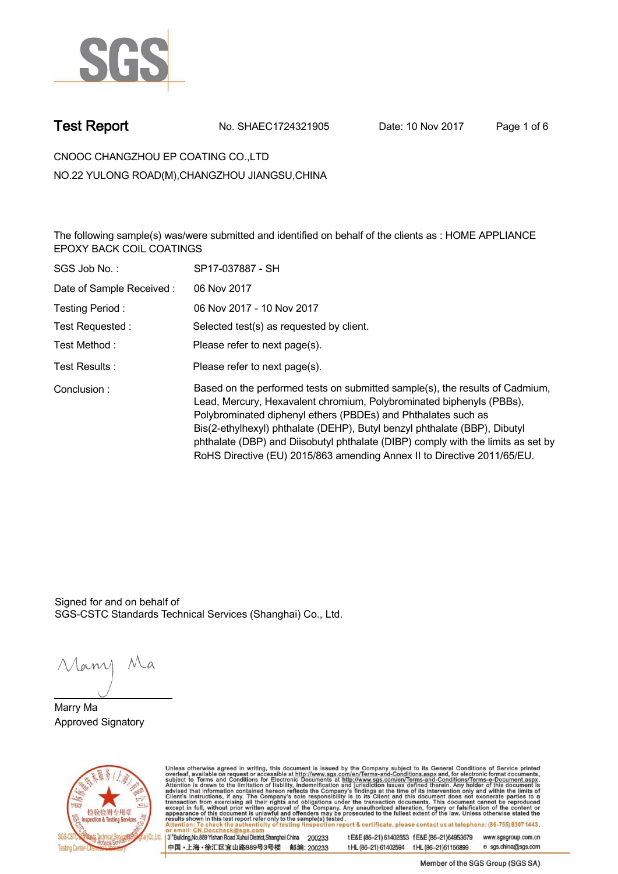

**Test Report. No. SHAEC1724321905 Date: 10 Nov 2017. Page 1 of 6.**

**CNOOC CHANGZHOU EP COATING CO.,LTD . NO.22 YULONG ROAD(M),CHANGZHOU JIANGSU,CHINA**

**The following sample(s) was/were submitted and identified on behalf of the clients as : HOME APPLIANCE EPOXY BACK COIL COATINGS .**

| SGS Job No.:             | SP17-037887 - SH                                                                                                                                                                                                                                                                                                                                                                                                                                                  |
|--------------------------|-------------------------------------------------------------------------------------------------------------------------------------------------------------------------------------------------------------------------------------------------------------------------------------------------------------------------------------------------------------------------------------------------------------------------------------------------------------------|
| Date of Sample Received: | 06 Nov 2017                                                                                                                                                                                                                                                                                                                                                                                                                                                       |
| Testing Period:          | 06 Nov 2017 - 10 Nov 2017                                                                                                                                                                                                                                                                                                                                                                                                                                         |
| Test Requested:          | Selected test(s) as requested by client.                                                                                                                                                                                                                                                                                                                                                                                                                          |
| Test Method :            | Please refer to next page(s).                                                                                                                                                                                                                                                                                                                                                                                                                                     |
| Test Results :           | Please refer to next page(s).                                                                                                                                                                                                                                                                                                                                                                                                                                     |
| Conclusion:              | Based on the performed tests on submitted sample(s), the results of Cadmium,<br>Lead, Mercury, Hexavalent chromium, Polybrominated biphenyls (PBBs),<br>Polybrominated diphenyl ethers (PBDEs) and Phthalates such as<br>Bis(2-ethylhexyl) phthalate (DEHP), Butyl benzyl phthalate (BBP), Dibutyl<br>phthalate (DBP) and Diisobutyl phthalate (DIBP) comply with the limits as set by<br>RoHS Directive (EU) 2015/863 amending Annex II to Directive 2011/65/EU. |

Signed for and on behalf of SGS-CSTC Standards Technical Services (Shanghai) Co., Ltd..

Many Ma

**Marry Ma. Approved Signatory .**



Unless otherwise agreed in writing, this document is issued by the Company subject to its General Conditions of Service printed overleaf, available on request or accessible at http://www.sgs.com/en/Terms-and-Conditions.asp t E&E (86-21) 61402553 f E&E (86-21)64953679 www.sgsgroup.com.cn

3<sup>rd</sup>Building, No.889 Yishan Road Xuhui District, Shanghai China 200233 中国·上海·徐汇区宜山路889号3号楼 邮编: 200233

tHL (86-21) 61402594 fHL (86-21) 61156899 e sgs.china@sgs.com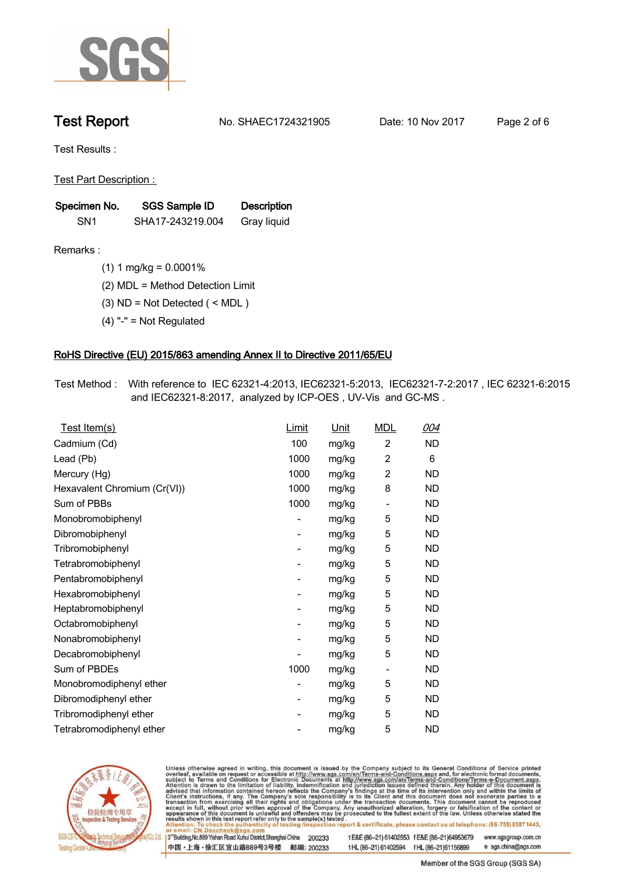

**Test Report. No. SHAEC1724321905 Date: 10 Nov 2017. Page 2 of 6.**

**Test Results :.**

**Test Part Description : .**

| Specimen No.    | SGS Sample ID    | <b>Description</b> |  |
|-----------------|------------------|--------------------|--|
| SN <sub>1</sub> | SHA17-243219.004 | Gray liquid        |  |

**Remarks :.(1) 1 mg/kg = 0.0001% .**

**(2) MDL = Method Detection Limit .**

**(3) ND = Not Detected ( < MDL ) .**

**(4) "-" = Not Regulated .**

## **RoHS Directive (EU) 2015/863 amending Annex II to Directive 2011/65/EU.**

**Test Method :. With reference to IEC 62321-4:2013, IEC62321-5:2013, IEC62321-7-2:2017 , IEC 62321-6:2015 and IEC62321-8:2017, analyzed by ICP-OES , UV-Vis and GC-MS . .**

| <u>Test Item(s)</u>          | <u>Limit</u>             | <u>Unit</u> | <b>MDL</b>               | 004       |
|------------------------------|--------------------------|-------------|--------------------------|-----------|
| Cadmium (Cd)                 | 100                      | mg/kg       | $\overline{c}$           | <b>ND</b> |
| Lead (Pb)                    | 1000                     | mg/kg       | 2                        | 6         |
| Mercury (Hg)                 | 1000                     | mg/kg       | 2                        | <b>ND</b> |
| Hexavalent Chromium (Cr(VI)) | 1000                     | mg/kg       | 8                        | ND        |
| Sum of PBBs                  | 1000                     | mg/kg       | $\overline{\phantom{a}}$ | <b>ND</b> |
| Monobromobiphenyl            | -                        | mg/kg       | 5                        | ND        |
| Dibromobiphenyl              | $\overline{\phantom{0}}$ | mg/kg       | 5                        | <b>ND</b> |
| Tribromobiphenyl             | $\overline{\phantom{0}}$ | mg/kg       | 5                        | <b>ND</b> |
| Tetrabromobiphenyl           | -                        | mg/kg       | 5                        | ND        |
| Pentabromobiphenyl           | $\overline{\phantom{0}}$ | mg/kg       | 5                        | ND        |
| Hexabromobiphenyl            | -                        | mg/kg       | 5                        | ND        |
| Heptabromobiphenyl           | $\overline{\phantom{a}}$ | mg/kg       | 5                        | <b>ND</b> |
| Octabromobiphenyl            | -                        | mg/kg       | 5                        | <b>ND</b> |
| Nonabromobiphenyl            | -                        | mg/kg       | 5                        | ND        |
| Decabromobiphenyl            | $\overline{a}$           | mg/kg       | 5                        | <b>ND</b> |
| Sum of PBDEs                 | 1000                     | mg/kg       | $\overline{\phantom{a}}$ | <b>ND</b> |
| Monobromodiphenyl ether      | -                        | mg/kg       | 5                        | ND        |
| Dibromodiphenyl ether        | ۰                        | mg/kg       | 5                        | <b>ND</b> |
| Tribromodiphenyl ether       | -                        | mg/kg       | 5                        | ND        |
| Tetrabromodiphenyl ether     |                          | mg/kg       | 5                        | <b>ND</b> |



Unless otherwise agreed in writing, this document is issued by the Company subject to its General Conditions of Service printed overleaf, available on request or accessible at http://www.sgs.com/en/Terms-and-Conditions.asp

3<sup>rd</sup>Building, No.889 Yishan Road Xuhui District, Shanghai China 200233 中国·上海·徐汇区宜山路889号3号楼 邮编: 200233 t E&E (86-21) 61402553 f E&E (86-21)64953679 www.sgsgroup.com.cn

t HL (86-21) 61402594 f HL (86-21) 61156899 e sgs.china@sgs.com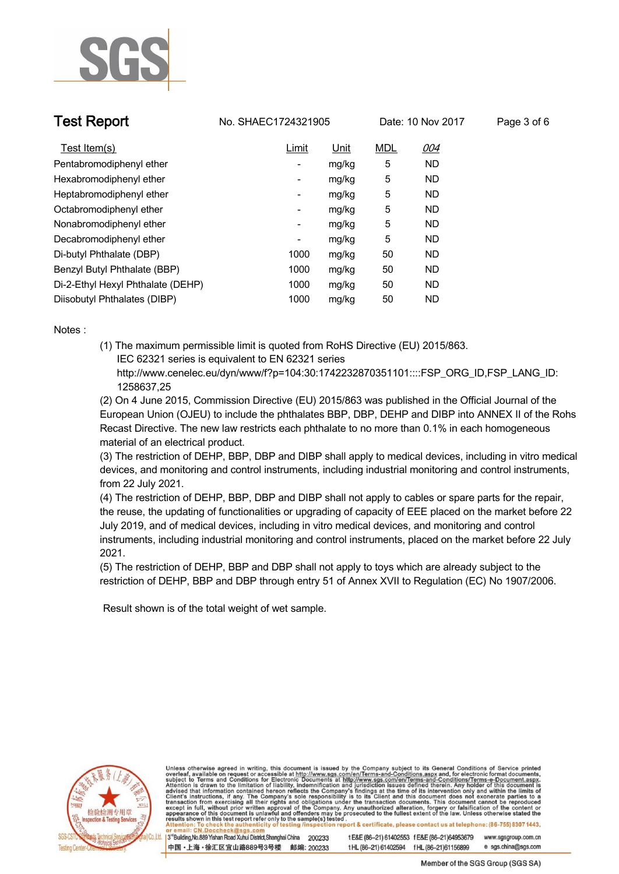

**Test Report. No. SHAEC1724321905** Date: 10 Nov 2017 Page 3 of 6

| Test Item(s)                      | Limit | <u>Unit</u> | <b>MDL</b> | 004       |
|-----------------------------------|-------|-------------|------------|-----------|
| Pentabromodiphenyl ether          | -     | mg/kg       | 5          | <b>ND</b> |
| Hexabromodiphenyl ether           | -     | mg/kg       | 5          | <b>ND</b> |
| Heptabromodiphenyl ether          | -     | mg/kg       | 5          | <b>ND</b> |
| Octabromodiphenyl ether           | ۰     | mg/kg       | 5          | <b>ND</b> |
| Nonabromodiphenyl ether           | -     | mg/kg       | 5          | <b>ND</b> |
| Decabromodiphenyl ether           | ۰     | mg/kg       | 5          | <b>ND</b> |
| Di-butyl Phthalate (DBP)          | 1000  | mg/kg       | 50         | <b>ND</b> |
| Benzyl Butyl Phthalate (BBP)      | 1000  | mg/kg       | 50         | ND        |
| Di-2-Ethyl Hexyl Phthalate (DEHP) | 1000  | mg/kg       | 50         | <b>ND</b> |
| Diisobutyl Phthalates (DIBP)      | 1000  | mg/kg       | 50         | <b>ND</b> |

**Notes :.**

**(1) The maximum permissible limit is quoted from RoHS Directive (EU) 2015/863. IEC 62321 series is equivalent to EN 62321 series**

 **http://www.cenelec.eu/dyn/www/f?p=104:30:1742232870351101::::FSP\_ORG\_ID,FSP\_LANG\_ID: 1258637,25**

**(2) On 4 June 2015, Commission Directive (EU) 2015/863 was published in the Official Journal of the European Union (OJEU) to include the phthalates BBP, DBP, DEHP and DIBP into ANNEX II of the Rohs Recast Directive. The new law restricts each phthalate to no more than 0.1% in each homogeneous material of an electrical product.** 

**(3) The restriction of DEHP, BBP, DBP and DIBP shall apply to medical devices, including in vitro medical devices, and monitoring and control instruments, including industrial monitoring and control instruments, from 22 July 2021.**

**(4) The restriction of DEHP, BBP, DBP and DIBP shall not apply to cables or spare parts for the repair, the reuse, the updating of functionalities or upgrading of capacity of EEE placed on the market before 22 July 2019, and of medical devices, including in vitro medical devices, and monitoring and control instruments, including industrial monitoring and control instruments, placed on the market before 22 July 2021.** 

**(5) The restriction of DEHP, BBP and DBP shall not apply to toys which are already subject to the restriction of DEHP, BBP and DBP through entry 51 of Annex XVII to Regulation (EC) No 1907/2006. .**

 **Result shown is of the total weight of wet sample. .**



Unless otherwise agreed in writing, this document is issued by the Company subject to its General Conditions of Service printed overleaf, available on request or accessible at http://www.sgs.com/en/Terms-and-Conditions.asp results shown in this test report refer only to the sample(s) tested report & certificate, please contact us at telephone: (86-755) 8307 1443,

3<sup>rd</sup> Building, No.889 Yishan Road Xuhui District, Shanghai China 200233 中国·上海·徐汇区宜山路889号3号楼 邮编: 200233 t E&E (86-21) 61402553 f E&E (86-21)64953679 www.sgsgroup.com.cn e sgs.china@sgs.com tHL (86-21) 61402594 fHL (86-21) 61156899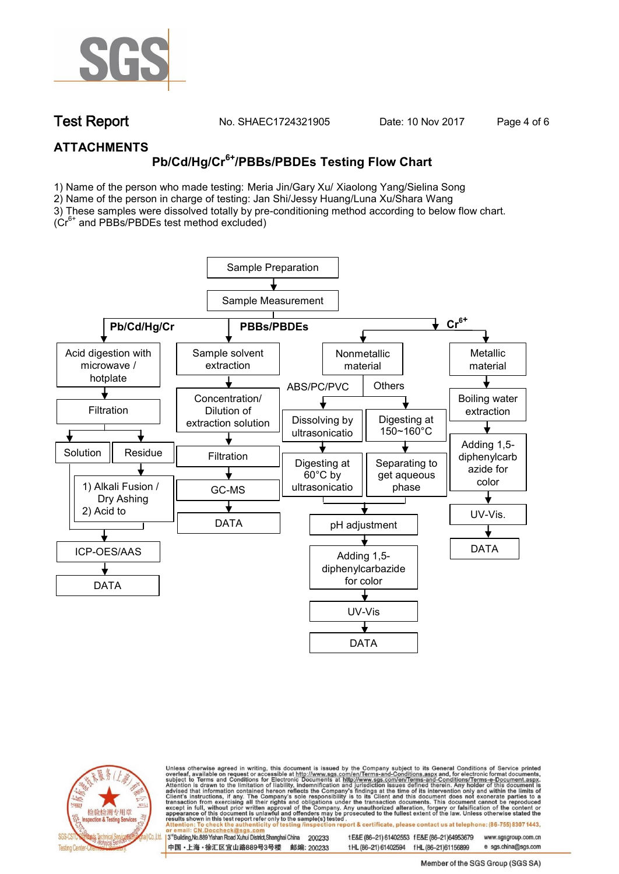

**Test Report. No. SHAEC1724321905 Date: 10 Nov 2017. Page 4 of 6.**

## **ATTACHMENTS**

# **Pb/Cd/Hg/Cr6+/PBBs/PBDEs Testing Flow Chart**

1) Name of the person who made testing: Meria Jin/Gary Xu/ Xiaolong Yang/Sielina Song

2) Name of the person in charge of testing: Jan Shi/Jessy Huang/Luna Xu/Shara Wang

3) These samples were dissolved totally by pre-conditioning method according to below flow chart. (Cr6+ and PBBs/PBDEs test method excluded)

Sample Preparation Sample Measurement **Pb/Cd/Hg/Cr PBBs/PBDEs and PBBs/PBDEs** Acid digestion with Sample solvent Nonmetallic Metallic microwave / extraction material material hotplate ABS/PC/PVC **Others** ↓ Concentration/  $\sqrt{2\pi}$ Boiling water **Filtration** Dilution of extraction Dissolving by Digesting at extraction solution 150~160°C ultrasonicatio Adding 1,5-  $\sqrt{1-\frac{1}{2}}$ Solution Residue **Filtration** diphenylcarb Digesting at Separating to azide for get aqueous 60°C by color 1) Alkali Fusion / ultrasonicatio phaseGC-MS  $\frac{1}{2}$ Dry Ashing <u>n Silvesson (</u> 2) Acid to UV-Vis. DATA dissolvered and the second pH adjustment DATA ICP-OES/AAS Adding 1,5 diphenylcarbazide for color DATA development and the state of the state of the state of the state of the state of the state of the state of the UV-Vis DATA



Unless otherwise agreed in writing, this document is issued by the Company subject to its General Conditions of Service printed overleaf, available on request or accessible at http://www.sgs.com/en/Terms-and-Conditions.asp on report & certificate, please contact us at telephone: (86-755) 8307 1443, esting /ins

13<sup>rd</sup> Building, No.889 Yishan Road Xuhui District, Shanghai China 200233 中国·上海·徐汇区宜山路889号3号楼 邮编: 200233 tE&E (86-21) 61402553 fE&E (86-21)64953679 www.sgsgroup.com.cn

t HL (86-21) 61402594 f HL (86-21)61156899 e sgs.china@sgs.com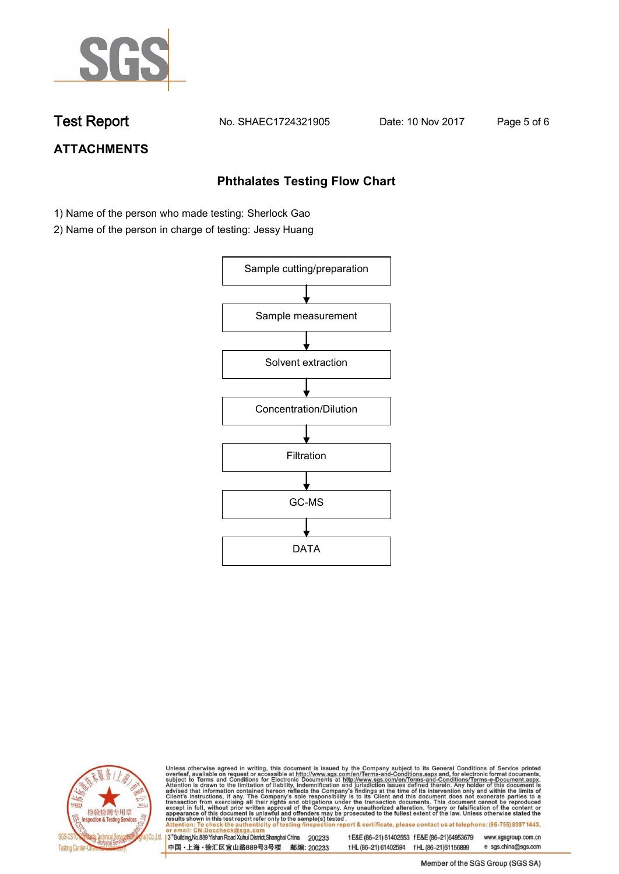

**Test Report. No. SHAEC1724321905 Date: 10 Nov 2017. Page 5 of 6.**

## **ATTACHMENTS**

## **Phthalates Testing Flow Chart**

- 1) Name of the person who made testing: Sherlock Gao
- 2) Name of the person in charge of testing: Jessy Huang





Unless otherwise agreed in writing, this document is issued by the Company subject to its General Conditions of Service printed overleaf, available on request or accessible at http://www.sgs.com/en/Terms-and-Conditions.asp

3<sup>rd</sup>Building, No.889 Yishan Road Xuhui District, Shanghai China 200233 中国·上海·徐汇区宜山路889号3号楼 邮编: 200233 t E&E (86-21) 61402553 f E&E (86-21)64953679 www.sgsgroup.com.cn t HL (86-21) 61402594 f HL (86-21) 61156899 e sgs.china@sgs.com